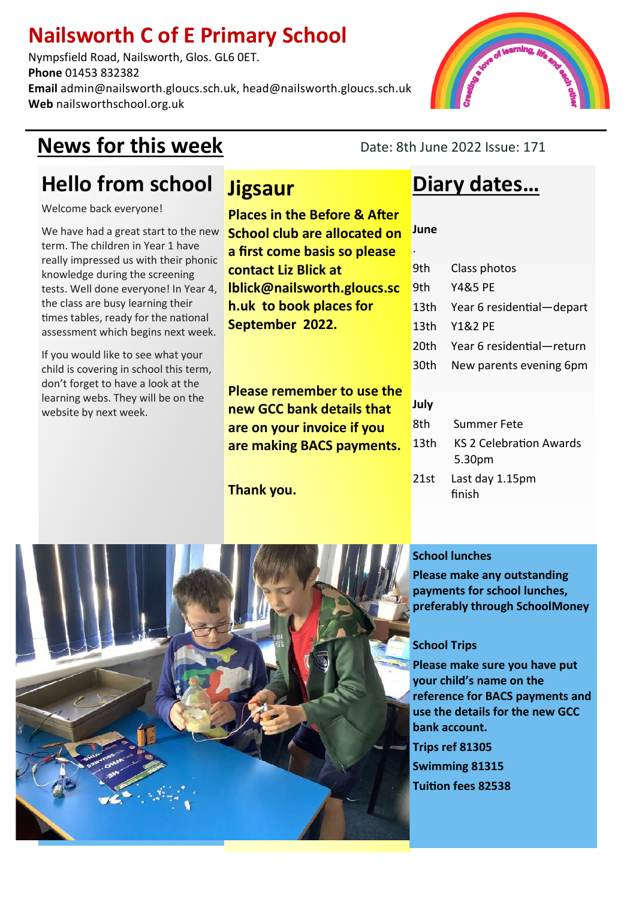### **Nailsworth C of E Primary School**

Nympsfield Road, Nailsworth, Glos. GL6 0ET. **Phone** 01453 832382 **Email** admin@nailsworth.gloucs.sch.uk, head@nailsworth.gloucs.sch.uk **Web** nailsworthschool.org.uk

### **News for this week** Date: 8th June 2022 Issue: 171

**June**

**July**

.

## **Hello from school**

Welcome back everyone!

We have had a great start to the new term. The children in Year 1 have really impressed us with their phonic knowledge during the screening tests. Well done everyone! In Year 4, the class are busy learning their times tables, ready for the national assessment which begins next week.

If you would like to see what your child is covering in school this term, don't forget to have a look at the learning webs. They will be on the website by next week.

### **Jigsaur**

**Places in the Before & After School club are allocated on a first come basis so please contact Liz Blick at lblick@nailsworth.gloucs.sc h.uk to book places for September 2022.**

**Please remember to use the new GCC bank details that are on your invoice if you are making BACS payments.**

**Thank you.**

### **Diary dates…**

| 9th    | Class photos              |
|--------|---------------------------|
| 9th    | <b>Y4&amp;5 PE</b>        |
| 13th   | Year 6 residential-depart |
| 13th   | <b>Y1&amp;2 PE</b>        |
| 20th   | Year 6 residential-return |
| 30th - | New parents evening 6pm   |
|        |                           |

| 8th  | Summer Fete             |
|------|-------------------------|
| 13th | KS 2 Celebration Awards |
|      | 5.30pm                  |
|      | 21st Last day 1.15pm    |

21s finish

#### **School lunches**

**Please make any outstanding payments for school lunches, preferably through SchoolMoney**

#### **School Trips**

**Please make sure you have put your child's name on the reference for BACS payments and use the details for the new GCC bank account. Trips ref 81305 Swimming 81315 Tuition fees 82538**



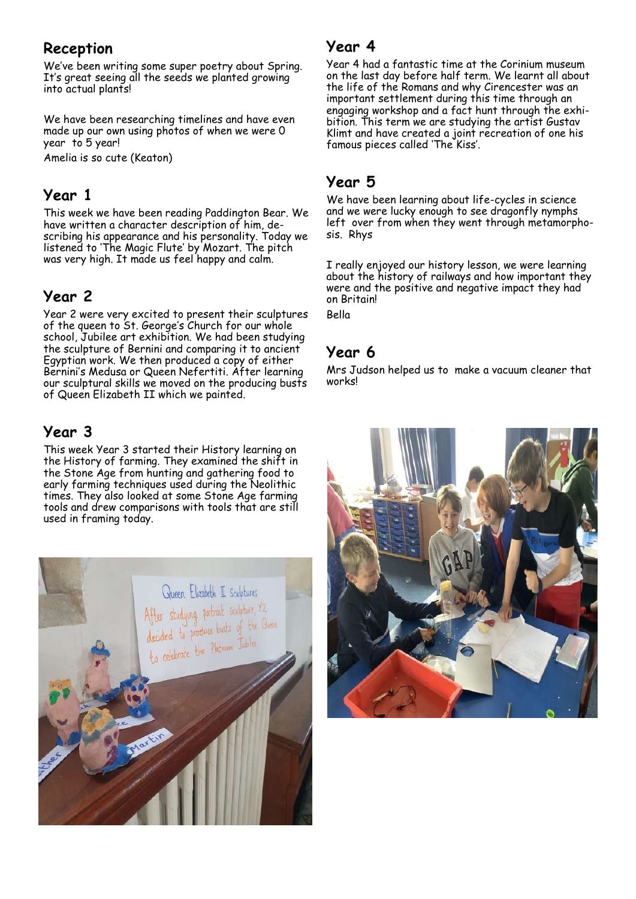#### **Reception**

We've been writing some super poetry about Spring. It's great seeing all the seeds we planted growing into actual plants!

We have been researching timelines and have even made up our own using photos of when we were 0 year to 5 year!

Amelia is so cute (Keaton)

#### **Year 1**

This week we have been reading Paddington Bear. We have written a character description of him, describing his appearance and his personality. Today we listened to 'The Magic Flute' by Mozart. The pitch was very high. It made us feel happy and calm.

#### **Year 2**

Year 2 were very excited to present their sculptures of the queen to St. George's Church for our whole school, Jubilee art exhibition. We had been studying the sculpture of Bernini and comparing it to ancient Egyptian work. We then produced a copy of either Bernini's Medusa or Queen Nefertiti. After learning our sculptural skills we moved on the producing busts of Queen Elizabeth II which we painted.

### **Year 3**

This week Year 3 started their History learning on the History of farming. They examined the shift in the Stone Age from hunting and gathering food to early farming techniques used during the Neolithic times. They also looked at some Stone Age farming tools and drew comparisons with tools that are still used in framing today.



#### **Year 4**

Year 4 had a fantastic time at the Corinium museum on the last day before half term. We learnt all about the life of the Romans and why Cirencester was an important settlement during this time through an engaging workshop and a fact hunt through the exhibition. This term we are studying the artist Gustav Klimt and have created a joint recreation of one his famous pieces called 'The Kiss'.

#### **Year 5**

We have been learning about life-cycles in science and we were lucky enough to see dragonfly nymphs left over from when they went through metamorphosis. Rhys

I really enjoyed our history lesson, we were learning about the history of railways and how important they were and the positive and negative impact they had on Britain! Bella

#### **Year 6**

Mrs Judson helped us to make a vacuum cleaner that works!